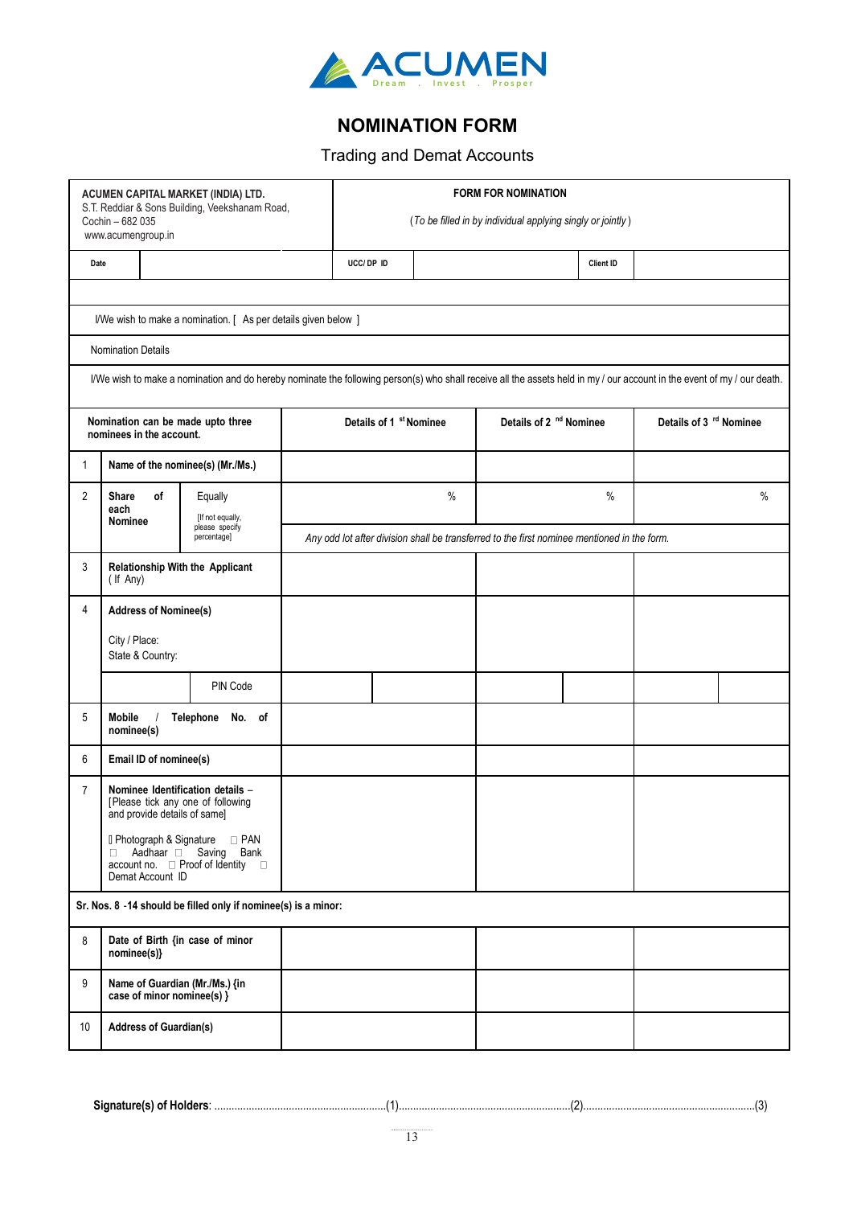

## **NOMINATION FORM**

## Trading and Demat Accounts

| ACUMEN CAPITAL MARKET (INDIA) LTD.<br>S.T. Reddiar & Sons Building, Veekshanam Road, |                                                                                                                                 |                                                                                                                                                                         |                                                                                             | <b>FORM FOR NOMINATION</b> |      |                                    |           |                                    |      |  |
|--------------------------------------------------------------------------------------|---------------------------------------------------------------------------------------------------------------------------------|-------------------------------------------------------------------------------------------------------------------------------------------------------------------------|---------------------------------------------------------------------------------------------|----------------------------|------|------------------------------------|-----------|------------------------------------|------|--|
|                                                                                      | Cochin - 682 035<br>www.acumengroup.in                                                                                          |                                                                                                                                                                         | (To be filled in by individual applying singly or jointly)                                  |                            |      |                                    |           |                                    |      |  |
|                                                                                      | Date                                                                                                                            |                                                                                                                                                                         |                                                                                             | UCC/ DP ID                 |      |                                    | Client ID |                                    |      |  |
|                                                                                      |                                                                                                                                 |                                                                                                                                                                         |                                                                                             |                            |      |                                    |           |                                    |      |  |
|                                                                                      |                                                                                                                                 | I/We wish to make a nomination. [ As per details given below ]                                                                                                          |                                                                                             |                            |      |                                    |           |                                    |      |  |
|                                                                                      | Nomination Details                                                                                                              |                                                                                                                                                                         |                                                                                             |                            |      |                                    |           |                                    |      |  |
|                                                                                      |                                                                                                                                 | I/We wish to make a nomination and do hereby nominate the following person(s) who shall receive all the assets held in my / our account in the event of my / our death. |                                                                                             |                            |      |                                    |           |                                    |      |  |
| Nomination can be made upto three<br>nominees in the account.                        |                                                                                                                                 |                                                                                                                                                                         | Details of 1 st Nominee                                                                     |                            |      | Details of 2 <sup>nd</sup> Nominee |           | Details of 3 <sup>rd</sup> Nominee |      |  |
| 1                                                                                    | Name of the nominee(s) (Mr./Ms.)                                                                                                |                                                                                                                                                                         |                                                                                             |                            |      |                                    |           |                                    |      |  |
| $\overline{2}$                                                                       | Share<br>οf<br>each                                                                                                             | Equally<br>[If not equally,                                                                                                                                             |                                                                                             |                            | $\%$ |                                    | $\%$      |                                    | $\%$ |  |
|                                                                                      | <b>Nominee</b>                                                                                                                  | please specify<br>percentage]                                                                                                                                           | Any odd lot after division shall be transferred to the first nominee mentioned in the form. |                            |      |                                    |           |                                    |      |  |
| 3                                                                                    | (If Any)                                                                                                                        | Relationship With the Applicant                                                                                                                                         |                                                                                             |                            |      |                                    |           |                                    |      |  |
| 4                                                                                    | <b>Address of Nominee(s)</b>                                                                                                    |                                                                                                                                                                         |                                                                                             |                            |      |                                    |           |                                    |      |  |
|                                                                                      | City / Place:<br>State & Country:                                                                                               |                                                                                                                                                                         |                                                                                             |                            |      |                                    |           |                                    |      |  |
|                                                                                      |                                                                                                                                 | PIN Code                                                                                                                                                                |                                                                                             |                            |      |                                    |           |                                    |      |  |
| 5                                                                                    | <b>Mobile</b><br>nominee(s)                                                                                                     | Telephone<br>No. of                                                                                                                                                     |                                                                                             |                            |      |                                    |           |                                    |      |  |
| 6                                                                                    | Email ID of nominee(s)                                                                                                          |                                                                                                                                                                         |                                                                                             |                            |      |                                    |           |                                    |      |  |
| $\overline{7}$                                                                       | Nominee Identification details -<br>[Please tick any one of following<br>and provide details of same]                           |                                                                                                                                                                         |                                                                                             |                            |      |                                    |           |                                    |      |  |
|                                                                                      | <b>I</b> Photograph & Signature □ PAN<br>Aadhaar Saving Bank<br>$\Box$<br>account no. □ Proof of Identity □<br>Demat Account ID |                                                                                                                                                                         |                                                                                             |                            |      |                                    |           |                                    |      |  |
|                                                                                      |                                                                                                                                 | Sr. Nos. 8 -14 should be filled only if nominee(s) is a minor:                                                                                                          |                                                                                             |                            |      |                                    |           |                                    |      |  |
| 8                                                                                    | Date of Birth {in case of minor<br>nominee(s)}                                                                                  |                                                                                                                                                                         |                                                                                             |                            |      |                                    |           |                                    |      |  |
| 9                                                                                    | Name of Guardian (Mr./Ms.) {in<br>case of minor nominee(s) $\}$                                                                 |                                                                                                                                                                         |                                                                                             |                            |      |                                    |           |                                    |      |  |
| 10                                                                                   | <b>Address of Guardian(s)</b>                                                                                                   |                                                                                                                                                                         |                                                                                             |                            |      |                                    |           |                                    |      |  |
|                                                                                      |                                                                                                                                 |                                                                                                                                                                         |                                                                                             |                            |      |                                    |           |                                    |      |  |